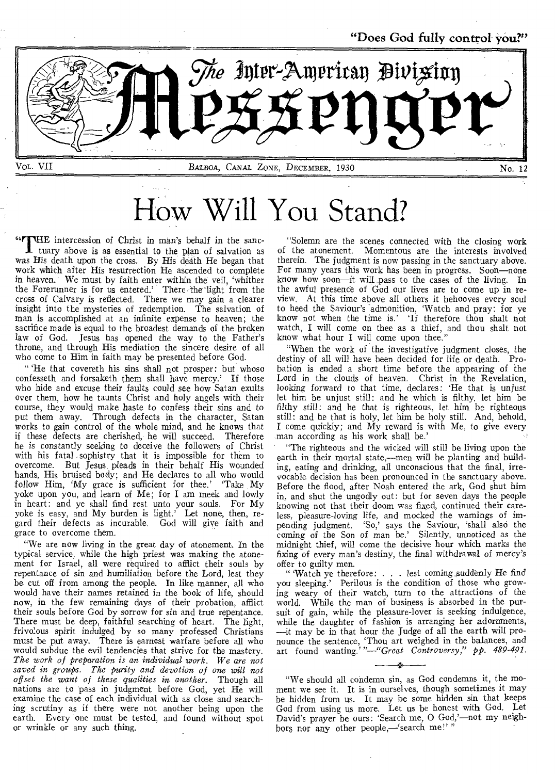

How Will You Stand?

 $66$ r THE intercession of Christ in man's behalf in the sanc-

 $\mathbf I$  tuary above is as essential to the plan of salvation as was His death upon the cross. By His death He began that work which after His resurrection He ascended to complete in heaven. We must by faith enter within the veil, 'whither the Forerunner is for us entered.' There the light from the cross of Calvary is reflected. There we may gain a clearer insight into the mysteries of redemption. The salvation of man is accomplished at an infinite expense to heaven; the sacrifice made is equal to the broadest demands of the broken law of God. Jesus has opened the way to the Father's throne, and through His mediation the sincere desire of all who come to Him in faith may be presented before God.

" 'He that covereth his sins shall not prosper: but whoso confesseth and forsaketh them shall have mercy.' If those who hide and excuse their faults could see how Satan exults over them, how he taunts Christ and holy angels with their course, they would make haste to confess their sins and to put them away. Through defects in the character, Satan works to gain control of the whole mind, and he knows that if these defects are cherished, he will succeed. Therefore he is constantly seeking to deceive the followers of Christ with his fatal sophistry that it is impossible for them to overcome. But lesus pleads in their behalf His wounded But Jesus pleads in their behalf His wounded hands, His bruised body; and He declares to all who would follow Him, 'My grace is sufficient for thee.' Take My yoke upon you, and learn of Me; for I am meek and lowly in heart: and ye shall find rest unto your souls. For My yoke is easy, and My burden is light.' Let none, then, regard their defects as incurable. God will give faith and grace to overcome them.

"We are now living in the great day of atonement. In the typical service, while the high priest was making the atonement for Israel, all were required to afflict their souls by repentance of sin and humiliation before the Lord, lest they be cut off from among the people. In like manner, all who would have their names retained in the book of life, should now, in the few remaining days of their probation, afflict their souls before God by sorrow for sin and true repentance. There must be deep, faithful searching of heart. The light, frivo!ous spirit indulged by so many professed Christians must be put away. There is earnest warfare before all who would subdue the evil tendencies that strive for the mastery. *The work of preparation is an individual work. We are not saved in groups. The purity and devotion of one will not offset the want of these qualities in another.* Though all nations are to pass in judgment before God, yet He will examine the case of each individual with as close and searching scrutiny as if there were not another being upon the earth. Every one must be tested, and found without spot or wrinkle or any such thing.

"Solemn are the scenes connected with the closing work of the atonement. Momentous are the interests involved therein. The judgment is now passing in the sanctuary above. For many years this work has been in progress. Soon—none know how soon—it will pass to the cases of the living. In the awful presence of God our lives are to come up in review. At this time above all others it behooves every soul to heed the Saviour's admonition, 'Watch and pray: for ye know not when the time is.' If therefore thou shalt not watch, I will come on thee as a thief, and thou shalt not know what hour I will come upon thee."

"When the work of the investigative judgment closes, the destiny of all will have been decided for life or death. Probation is ended a short time before the appearing of the Lord in the clouds of heaven. Christ in the Revelation, looking forward to that time, declares: 'He that is unjust let him be unjust still: and he which is filthy, let him be filthy still: and he that is righteous, let him be righteous still: and he that is holy, let him be holy still. And, behold, I come quickly; and My reward is with Me, to give every man according as his work shall be.'

"The righteous and the wicked will still be living upon the earth in their mortal state,—men will be planting and building, eating and drinking, all unconscious that the final, irrevocable decision has been pronounced in the sanctuary above. Before the flood, after Noah entered the ark, God shut him in, and shut the ungodly out: but for seven days the people knowing not that their doom was fixed, continued their careless, pleasure-loving life, and mocked the warnings of impending judgment. 'So,' says the Saviour, 'shall also the coming of the Son of man be.' Silently, unnoticed as the midnight thief, will come the decisive hour which marks the fixing of every man's destiny, the final withdrawal of mercy's offer to guilty men.

" 'Watch ye therefore: . . . lest coming .suddenly He find you sleeping.' Perilous is the condition of those who growing weary of their watch, turn to the attractions of the world. While the man of business is absorbed in the pursuit of gain, while the pleasure-lover is seeking indulgence, while the daughter of fashion is arranging her adornments, —it may be in that hour the Judge of all the earth will pronounce the sentence, 'Thou art weighed in the balances, and art found wanting.'*"—"Great Controversy," pp. 489-491.* 

"We should all condemn sin, as God condemns it, the moment we see it. It is in ourselves, though sometimes it may be hidden from us. It may be some hidden sin that keeps God from using us more. Let us be honest with God. Let David's prayer be ours: 'Search me, 0 God,'—not my neighbors nor any other people,—'search me!'"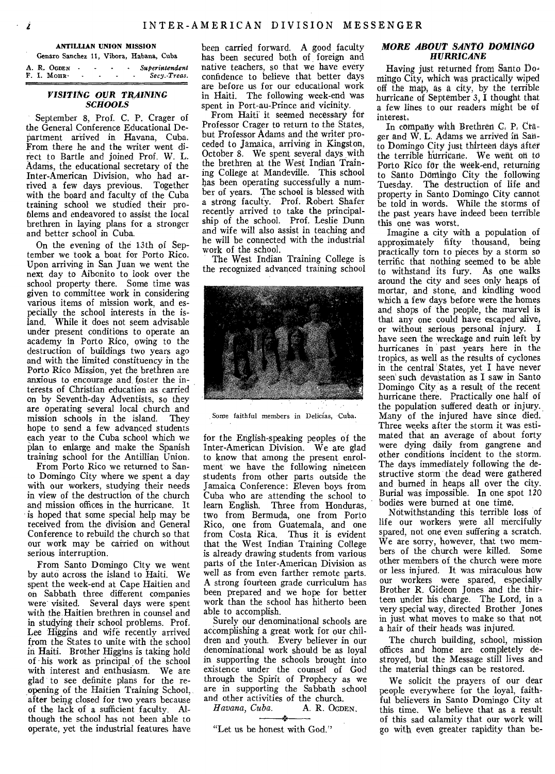#### **ANTILLIAN UNION MISSION**

Genaro Sanchez 11, Vibora, Habana, Cuba

|  | A. R. OGDEN |  |  | Superintendent |
|--|-------------|--|--|----------------|
|  | F. I. Mour. |  |  | Secv Treas.    |
|  |             |  |  |                |

## *VISITING OUR TRAINING SCHOOLS*

September 8, Prof. C. P. Crager of the General Conference Educational Department arrived in Havana, Cuba. From there he and the writer went direct to Bartle and joined Prof. W. L. Adams, the educational secretary of the Inter-American Division, who had arrived a few days previous. Together with the board and faculty of the Cuba training school we studied their problems and endeavored to assist the local brethren in laying plans for a stronger and better school in Cuba.

On the evening of the 13th of September we took a boat for Porto Rico. Upon arriving in San Juan we went the next day to Aibonito to look over the school property there. Some time was given to committee work in considering various items of mission work, and especially the school interests in the island. While it does not seem advisable under present conditions to operate an academy in Porto Rico, owing to the destruction of buildings two years ago and with the limited constituency in the Porto Rico Mission, yet the brethren are anxious to encourage and, foster the interests of Christian education as carried on by Seventh-day Adventists, so they are operating several local church and mission schools in the island. They hope to send a few advanced students each year to the Cuba school which we plan to enlarge and make the Spanish training school for the Antillian Union.

From Porto Rico we returned to Santo Domingo City where we spent a day with our workers, studying their needs in view of the destruction of the church and mission offices in the hurricane. It is hoped that some special help may be received from the division and General Conference to rebuild the church so that our work may be carried on without serious interruption.

From Santo Domingo City we went by auto across the island to Haiti. We spent the week-end at Cape Haitien and on Sabbath three different companies were visited. Several days were spent with the Haitien brethren in counsel and in studying their school problems. Prof, Lee Higgins and wife recently arrived from the States to unite with the school in Haiti. Brother Higgins is taking hold of his work as principal of the school with interest and enthusiasm. We are glad to see definite plans for the reopening of the Haitien Training School, after being closed for two years because of the lack of a sufficient faculty. Although the school has not been able to operate, yet the industrial features have

been carried forward. A good faculty has been secured both of foreign and native teachers, so that we have every confidence to believe that better days are before us for our educational work in Haiti. The following week-end was spent in Port-au-Prince and vicinity.

From Haiti it seemed necessary for Professor Crager to return to the States, but Professor Adams and the writer proceded to Jamaica, arriving in Kingston, October 8. We spent several days with the brethren at the West Indian Training College at Mandeville. This school has been operating successfully a number of years. The school is blessed with a strong faculty. Prof. Robert Shafer recently arrived to take the principalship of the school. Prof. Leslie Dunn and wife will also assist in teaching and he will be connected with the industrial work of the school.

The West Indian Training College is the recognized advanced training school



Some faithful members in Delicias, Cuba.

for the English-speaking peoples of the Inter-American Division. We are glad to know that among the present enrolment we have the following nineteen students from other parts outside the Jamaica Conference: Eleven boys from Cuba who are attending the school to learn English. Three from Honduras, two from Bermuda, one from Porto Rico, one from Guatemala, and one from Costa Rica. Thus it is evident that the West Indian Training College is already drawing students from various parts of the Inter-American Division as well as from even farther remote parts. A strong fourteen grade curriculum has been prepared and we hope for better work than the school has hitherto been able to accomplish.

Surely our denominational schools are accomplishing a great work for our children and youth. Every believer in our denominational work should be as loyal in supporting the schools brought into existence under the counsel of God through the Spirit of Prophecy as we are in supporting the Sabbath school and other activities of the church.<br>Havana, Cuba. A. R. OGDEN.

Havana, Cuba.

"Let us be honest with God."

## *MORE ABOUT SANTO DOMINGO HURRICANE*

Having just returned from Santo Domingo City, which was practically wiped off the map, as a city, by the terrible hurricane of September 3, I thought that a few lines to our readers might be of interest,

In company with Brethren C. P: Crager and W. L. Adams we arrived in Santo Domingo City just thirteen days after the terrible hurricane. We went on to Porto Rico for the week-end, returning to Santo Domingo City the following Tuesday. The destruction of life and property in Santo Domingo City cannot be told in words. While the storms of the past years have indeed been terrible this one was worst.

Imagine a city with a population of approximately fifty thousand, being practically torn to pieces by a storm so terrific that nothing seemed to be able to withstand its fury. As one walks around the city and sees only heaps of mortar, and stone, and kindling wood which a few days before were the homes and shops of the people, the marvel is that any one could have escaped alive, or without serious personal injury, I have seen the wreckage and ruin left by hurricanes in past years here in the tropics, as well as the results of cyclones in the central States, yet I have never seen' such devastation as I saw in Santo Domingo City as a result of the recent hurricane there. Practically one half of the population suffered death or injury. Many of the injured have since died. Three weeks after the storm it was estimated that an average of about forty were dying daily from gangrene and other conditions incident to the storm. The days immediately following the destructive storm the dead were gathered and burned in heaps all over the city. Burial was impossible. In one spot 120 bodies were burned at one time.

Notwithstanding this terrible loss of life our workers were all mercifully spared, not one even suffering a scratch. We are sorry, however, that two members of the church were killed. Some other members of the church were more or less injured. It was miraculous how our workers were spared, especially Brother R. Gideon Jones and the thirteen under his charge. The Lord, in a very special way, directed Brother Jones in just what moves to make so that not a hair of their heads was injured.

The church building, school, mission offices and home are completely destroyed, but the Message still lives and the material things can be restored.

We solicit the prayers of our dear people everywhere for the loyal, faithful believers in Santo Domingo City at this time. We believe that as a result of this sad calamity that our work will go with even greater rapidity than be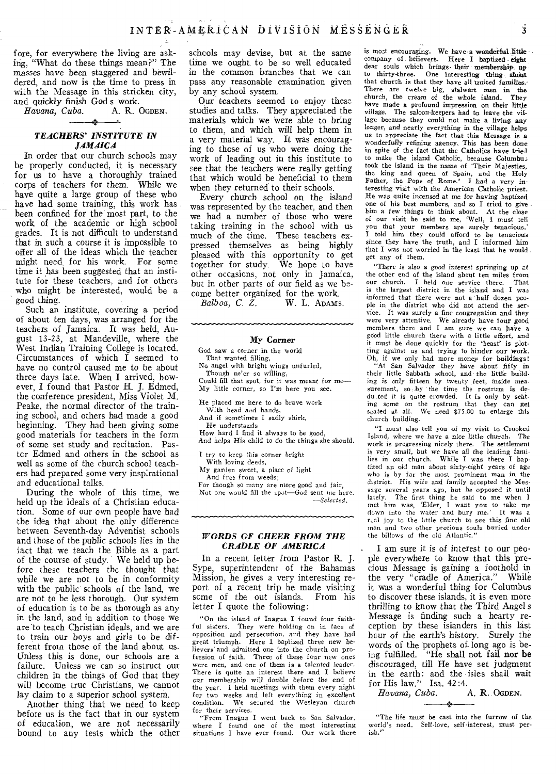fore, for everywhere the living are asking, "What do these things mean?" The masses have been staggered and bewildered, and now is the time to press in with the Message in this stricken city,

and quickly finish God s work.<br>Havana, Cuba. A. R. OGDEN. Havana, Cuba.

# *TEACHERS' INSTITUTE IN JAMAICA*

In order that our church schools may be properly conducted, it is necessary for us to have a thoroughly trained corps of teachers for them. While we have quite a large group of these who have had some training, this work has been confined for the most part, to the work of the academic or high school grades. It is not difficult to understand that in such a course it is impossible to offer all of the ideas which the teacher might need for his work. For some time it has been suggested that an institute for these teachers, and for others who might be interested, would be a good thing.

Such an institute, covering a period of about ten days, was arranged for the teachers of Jamaica. It was held, August 13-23, at Mandeville, where the West Indian Training College is located. Circumstances of which I seemed to have no control caused me to be about three days late. When I arrived, however, I found that Pastor H. J. Edmed, the conference president, Miss Violet M. Peake, the normal director of the training school, and others had made a good beginning. They had been giving some good materials for teachers in the form of some set study and recitation. Pastcr Edmed and others in the school as well as some of the church school teachers had prepared some very inspirational and educational talks.

During the whole of this time, we held up the ideals of a Christian education. Some of our own people have had the idea that about the only difference between Seventh-day Adventist schools and those of the public schools lies in the tact that we teach the Bible as a part of the course of study. We held up before these teachers the thought that while we are not to be in conformity with the public' schools of the land, we are not to be less thorough. Our system of education is to be as thorough as any in the land, and in addition to those we are to teach Christian ideals, and we are to train our boys and girls to be different from those of the land about us. Unless this is done, our schools are a failure. Unless we can so instruct our children in the things of God that they will become true Christians, we cannot lay claim to a superior school system.

Another thing that we need to keep before us is the fact that in our system of education, we are not necessarily bound to any tests which the other schools may devise, but at the same time we ought, to be so well educated in the common branches that we can pass any reasonable examination given by any school system.

Our teachers seemed to enjoy these studies and talks. They appreciated the materials which we were able to bring to them, and which will help them in a very material way. It was encouraging to those of us who were doing the work of leading out in this institute to see that the teachers were really getting that which would be beneficial to them when they returned to their schools.

Every church school on the island was represented by the teacher, and then we had a number of those who were taking training in the school with us much of the time. These teachers expressed themselves as being highly pleased with this opportunity to get together for study. We hope to have other occasions, not only in Jamaica, but in other parts of our field as we be-

come better organized for the work.<br>Balboa, C. Z. W. L. ADAMS W. L. ADAMS.

#### My Corner

God saw a corner in the world That wanted filling, No angel with bright wings unfurled, Though ne'er so willing, Could fill that spot, for it was meant for me--My little corner, so I'm here you see.

He placed me here to do brave work

With head and hands,

And if sometimes I sadly shirk,

He understands

How hard I find it always to be good, And helps His child to do the things she should.

I try to keep this corner bright

With loving deeds,

My garden sweet, a place of light

And free from weeds; For though so many are nore good and fair, Not one would fill the spot-God sent me here. *--Selected.* 

#### *WORDS OF CHEER FROM THE CRADLE OF AMERICA*

In a recent letter from Pastor R. J. Sype, superintendent of the Bahamas Mission, he gives a very interesting report of a recent trip he made visiting scme of the out islands. From his letter I quote the following:

"On the island of Inagua I found four faithful sisters. They were holding on in face of opposition and persecution, and they have had great triumph. Here I baptized three new believers' and admitted one into the church on profession of faith. Three of these four new ones were men, and one of them is a talented leader. There is quite an interest there and I believe our membership will double before the end of the year. I held meetings with them every night for two weeks and left everything in excellent condition. We secured the Wesleyan church for their services.

"From Inagua I went back to San Salvador, where I found one of the most interesting situations I have ever found. Our work there is most encouraging. We have a wonderful little company of believers. Here I baptized- eight dear souls which brings. their membership up to thirty-three. One interesting thing- about that church is that they have all united *families.'*  There are twelve big, stalwart men in the church, the cream of the whole island. They church, the cream of the whole island. have made a profound impression on their little *village.* The saloon-keepers had to leave the village because they could not make a living any longer, and nearly everything in the village helps us to appreciate the fact that this Message is a wonderfully refining agency. This has been done in spite of the fact that the Catholics have tried to make the island Catholic, because Columbus took the island in the name of Their Majesties, the king and queen of Spain, and the Holy Father, the Pope of Rome.' I had a very *in-teresting* visit with the American Catholic priest. He was quite *incensed* at me for having baptized one of his best members, and so I tried to give him a few things to think about. At the close of our visit he said to me, 'Well, I must tell you that your members are surely tenacious.' I told him they could afford to be tenacious since they have the truth, and I informed him that I was not worried in the least that he would get any of them.

"There is also a *good interest* springing up at the other end of the island about ten miles from our church. I held one service there. That is the largest district in the island and I was informed that there were not a half dozen peo. ple in the district who did not attend the ser• vice. It was surely a fine congregation and they were very attentive. We already have four good members there and I am sure we can have a good little church there with a little effort, and it must be done quickly for the 'beast' is plotting against us and trying to hinder our work.<br>Oh, if we only had more money for buildings! Oh, if we only had more money for buildings! "At San Salvador they have about' fifty in their little Sabbath school, and the little building is *only fifteen* by twenty feet, inside measurement, so ,by 'the time the rostrum is de-du.ted it is quite crowded. It is only by seating some on the rostrum that they can get seated at all. We need \$75.00 to enlarge this church building.

"I must also tell you of my visit to Crooked Island, where we have a *nice* little church. The work is progressing nicely there. The settlement is very small, but we have all the leading families in our church. While I was there I baptized an old man about sixty-eight years of age who is by far the most prominent man in the district. His wife and family accepted the Message several years ago, but he opposed it until lately. The first thing he said to me when I met him was, 'Elder, I want you to take me down into the water and bury me.' r,,al joy to the little church to see this fine old man and two other precious souls buried under the billows of the old Atlantic."

I am sure it is of interest to our people everywhere to know that this precious Message is gaining a foothold in the very "cradle of America." While it was a wonderful thing for Columbus to discover these islands, it is even more thrilling to know that the Third Angel s Message is finding such a hearty reception by these islanders in this last hour of the earth's history. Surely the words of the prophets of. long ago is being fulfilled. "He shall not fail nor be discouraged, till He have set judgment in the earth: and the isles shall wait for His law." Isa. 42:4.<br>Havana, Cuba. A. R. OGDEN.

Havana, Cuba.

"The life must be cast into the furrow of the world's need. Self-love, self-interest, must perish."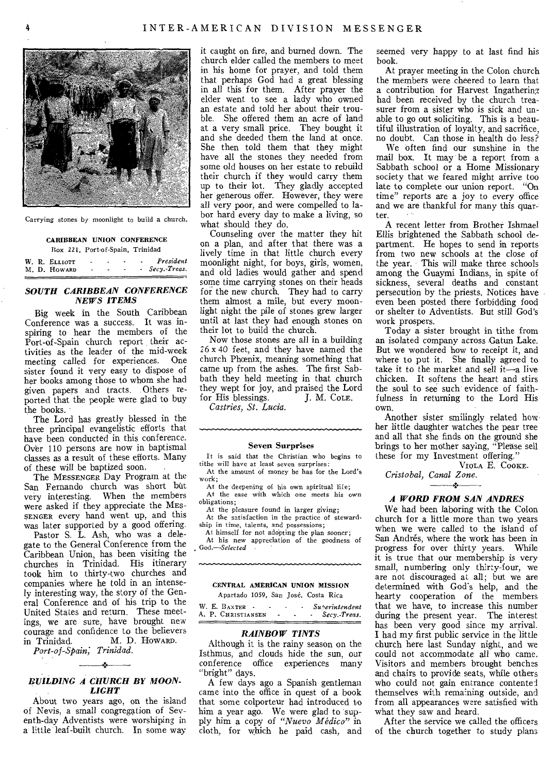

Carrying stones by moonlight to build a church.

#### CARIBBEAN UNION CONFERENCE

|  | Box 221, Port-of-Spain, Trinidad |        |   |  |                |
|--|----------------------------------|--------|---|--|----------------|
|  | W. R. Elliott                    | $\sim$ | ٠ |  | President      |
|  | M. D. Howard                     | ۰      |   |  | - Secv. Treas. |

# *SOUTH CARIBBEAN CONFERENCE NEWS ITEMS*

Big week in the South Caribbean Conference was a success. It was inspiring to hear the members of the Port-of-Spain church report their activities as the leader of the mid-week meeting called for experiences. One sister found it very easy to dispose of her books among those to whom she had given papers and tracts. Others reported that the people were glad to buy the books.

The Lord has greatly blessed in the three principal evangelistic efforts that have been conducted in this conference. Over 110 persons are now in baptismal classes as a result of these efforts. Many of these will be baptized soon.

The MESSENGER Day Program at the San Fernando church was short but very interesting. When the members were asked if they appreciate the MES-SENGER every hand went up, and this was later supported by a good offering.

Pastor S. L. Ash, who was a delegate to the General Conference from the Caribbean Union, has been visiting the churches in Trinidad. His itinerary took him to thirty-two churches and companies where he told in an intensely interesting way, the story of the General Conference and of his trip to the United States and return. These meetings, we are sure, have brought new courage and confidence to the believers<br>in Trinidad. M. D. Howard. M. D. HOWARD.

*Port-of-Spain, Trinidad.* 

# بالأبد *BUILDING A CHURCH BY MOON-LIGHT*

About two years ago, on the island of Nevis, a small congregation of Seventh-day Adventists were worshiping in a little leaf-built church. In some way it caught on fire, and burned down. The church elder called the members to meet in his home for prayer, and told them that perhaps God had a great blessing in all this for them. After prayer the elder went to see a lady who owned an estate and told her about their trouble. She offered them an acre of land at a very small price. They bought it and she deeded them the land at once. She then told them that they might have all the stones they needed from some old houses on her estate to rebuild their church if they would carry them up to their lot. They gladly accepted her generous offer. However, they were all very poor, and were compelled to labor hard every day to make a living, so what should they do.

Counseling over the matter they hit on a plan, and after that there was a lively time in that little church every moonlight night, for boys, girls, women, and old ladies would gather and spend some time carrying stones on their heads for the new church. They had to carry them almost a mile, but every moonlight night the pile of stones grew larger until at last they had enough stones on their lot to build the church.

Now those stones are all in a building 26 x 40 feet, and they have named the church Phcenix, meaning something that came up from the ashes. The first Sabbath they held meeting in that church they wept for joy, and praised the Lord<br>for His blessings. J. M. Cole. for His blessings.

*Castries, St. Lucia.* 

#### Seven Surprises

It is said that the Christian who begins to tithe will have at least seven surprises:

At the amount of money he has for the Lord's work;

At the deepening of his own spiritual life; At the ease with which one meets his own obligations;

At the pleasure found in larger giving; At the satisfaction in the practice of steward-

ship in time, talents, and possessions; At himself for not adopting the plan sooner;

At his new appreciation of the goodness of *God.—Selected* 

#### CENTRAL AMERICAN UNION MISSION Apartado 1059, San Jose, Costa Rica

W. E. BAXTER **- · · · · Superintendent**<br>A. P. CHRISTIANSEN - · · · Secy.-Treas.

# *RAINBOW TINTS*

Although it is the rainy season on the Isthmus, and clouds hide the sun, our conference office experiences many "bright" days.

A few days ago a Spanish gentleman came into the office in quest of a book that some colporteur had introduced to him a year ago. We were glad to supply him a copy of *"Nuevo Medico"* in cloth, for which he paid cash, and

seemed very happy to at last find his book.

At prayer meeting in the Colon church the members were cheered to learn that a contribution for Harvest Ingathering had been received by the church treasurer from a sister who is sick and unable to go out soliciting. This is a beautiful illustration of loyalty, and sacrifice, no doubt. Can those in health do less?

We often find our sunshine in the mail box. It may be a report from a Sabbath school or a Home Missionary society that we feared might arrive too late to complete our union report. "On time" reports are a joy to every office and we are thankful for many this quarter.

A recent letter from Brother Ishmael Ellis brightened the Sabbath school department. He hopes to send in reports from two new schools at the close of the year. This will make three schools among the Guaymi Indians, in spite of sickness, several deaths and constant persecution by the priests. Notices have even been posted there forbidding food or shelter to Adventists. But still God's work prospers.

Today a sister brought in tithe from an isolated company across Gatun Lake. But we wondered how to receipt it, and where to put it. She finally agreed to take it to the market and sell it—a live chicken. It softens the heart and stirs the soul to see such evidence of faithfulness in returning to the Lord His own.

Another sister smilingly related how her little daughter watches the pear tree and all that she finds on the ground she brings to her mother saying, "Please sell these for my Investment offering.'

VIOLA E. COOKE.

*Cristobal, Canal Zone.*  - 2

# *A WORD FROM SAN ANDRES*

We had been laboring with the Colon church for a little more than two years when we were called to the island of San Andrés, where the work has been in progress for over thirty years. While it is true that our membership is very small, numbering only thirty-four, we are not discouraged at all; but we are determined with God's help, and the hearty cooperation of the members that we have, to increase this number during the present year. The interest has been very good since my arrival. I had my first public service in the little church here last Sunday night, and we could not accommodate all who came. Visitors and members brought benches and chairs to provide seats, while others who could not gain entrance contented themselves with remaining outside, and from all appearances were satisfied with what they saw and heard.

After the service we called the officers of the church together to study plans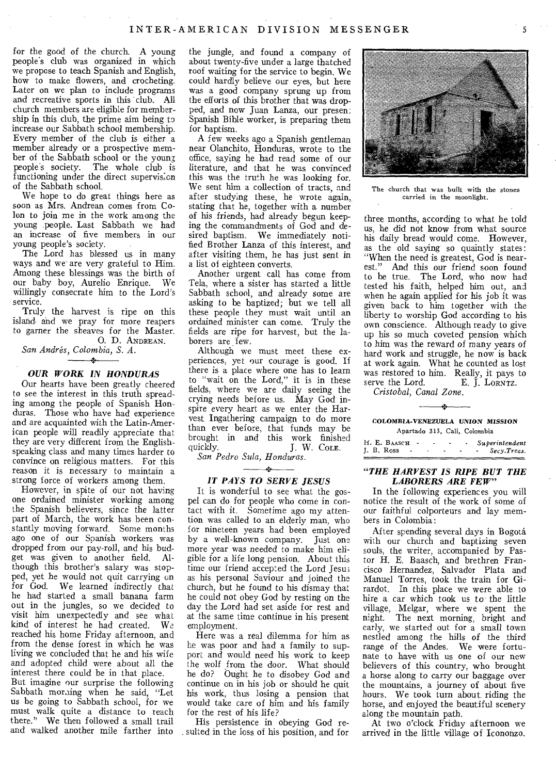for the good of the church. A young people's club was organized in which we propose to teach Spanish and English, how to make flowers, and crocheting. Later on we plan to include programs and recreative sports in this club. All church members are eligible for membership in this club, the prime aim being to increase our Sabbath school membership. Every member of the club is either a member already or a prospective member of the Sabbath school or the young<br>people's society. The whole club is The whole club is functioning under the direct supervision of the Sabbath school.

We hope to do great things here as soon as Mrs. Andrean comes from Colon to join me in the work among the young people. Last Sabbath we had an increase of five members in our young people's society.

The Lord has blessed us in many ways and we are very grateful to Him. Among these blessings was the birth of our baby boy, Aurelio Enrique. We willingly consecrate him to the Lord's service.

Truly the harvest is ripe on this island and we pray for more reapers to garner the sheaves for the Master.

0. D. ANDREAN. *San Andres, Colombia, S. A.* 

#### *OUR WORK IN HONDURAS*

Our hearts have been greatly cheered to see the interest in this truth spreading among the people of Spanish Honduras. Those who have had experience and are acquainted with the Latin-American people will readily appreciate that they are very different from the Englishspeaking class and many times harder to convince on religious matters. For this reason it is necessary to maintain a strong force of workers among them.

However, in spite of our not having one ordained minister working among the Spanish believers, since the latter part of March, the work has been constantly moving forward. Some months ago one of our Spanish workers was dropped from our pay-roll, and his bud-<br>get was given to another field Alget was given to another field. though this brother's salary was stopped, yet he would not quit carrying on for God. We learned indirectly that he had started a small banana farm out in the jungles, so we decided to visit him unexpectedly and see what<br>kind of interest he had created. We kind of interest he had created. reached his home Friday afternoon, and from the dense forest in which he was living we concluded that he and his wife and adopted child were about all the interest there could be in that place.

But imagine our surprise the following Sabbath morning when he said, "Let us be going to Sabbath school, for we must walk quite a distance to reach there." We then followed a small trail and walked another mile farther into

the jungle, and found a company of about twenty-five under a large thatched roof waiting for the service to begin. We could hardly believe our eyes, but here was a good company sprung up from the efforts of this brother that was dropped, and now Juan Lanza, our presen: Spanish Bible worker, is preparing them for baptism.

A few weeks ago a Spanish gentleman near Olanchito, Honduras, wrote to the office, saying he had read some of our literature, and that he was convinced this was the truth he was looking for. We sent him a collection of tracts, and after studying these, he wrote again, stating that he, together with a number of his friends, had already begun keeping the commandments of God and desired baptism. We immediately notified Brother Lanza of this interest, and after visiting them, he has just sent in a list of eighteen converts.

Another urgent call has come from Tela, where a sister has started a little Sabbath school, and already some are asking to be baptized; but we tell all these people they must wait until an ordained minister can come. Truly the fields are ripe for harvest, but the laborers are few.

Although we must meet these experiences, yet our courage is good. If there is a place where one has to learn to "wait on the Lord," it is in these fields, where we are daily seeing the crying needs before us. May God inspire every heart as we enter the Harvest Ingathering campaign to do more than ever before, that funds may be brought in and this work finished quickly. J. W. COLE.

*San Pedro Sula, Honduras.* 

# *IT PAYS TO SERVE JESUS*

It is wonderful to see what the gospel can do for people who come in contact with it. Sometime ago my attention was called to an elderly man, who for nineteen years had been employed by a well-known company. Just one more year was needed to make him eligible for a life long pension. About this time our friend accepted the Lord Jesus as his personal Saviour and joined the church, but *he* found to his dismay that he could not obey God by resting on the day the Lord had set aside for rest and at the same time continue in his present employment.

Here was a real dilemma for him as he was poor and had a family to support and would need his work to keep the wolf from the door. What should he do? Ought he to disobey God and continue on in his job or should he quit his work, thus losing a pension that would take care of him and his family for the rest of his life?

His persistence in obeying God re- \_ suited in the loss of his position, and for



The church that was built with the stones carried in the moonlight.

three months, according to what he told us, he did not know from what source his daily bread would come. However, as the old saying so quaintly states: "When the need is greatest, God is nearest." And this our friend soon found to be true. The Lord, who now had tested his faith, helped him out, and when he again applied for his job it was given back to him together with the liberty to worship God according to his own conscience. Although ready to give up his so much coveted pension which to him was the reward of many years of hard work and struggle, he now is back at work again. What he counted as lost was restored to him. Really, it pays to<br>serve the Lord. E. I. LORNTZ. E. J. LORNTZ.

*Cristobal, Canal Zone.* 

# 48 COLOMBIA-VENEZUELA UNION MISSION Apartado 313, Cali, Colombia

| H. E. BAASCH - |  |  | Superintendent   |
|----------------|--|--|------------------|
| $I. B. Ross$ - |  |  | $-$ Secv. Treas. |

#### *"THE HARVEST IS RIPE BUT THE LABORERS ARE FEW"*

In the following experiences you will notice the result of the work of some of our faithful colporteurs and lay members in Colombia:

After spending several days in Bogota with our church and baptizing seven souls, the writer, accompanied by Pastor H. E. Baasch, and brethren Francisco Hernandez, Salvador Plata and Manuel Torres, took the train for Girardot. In this place we were able to hire a car which took us to the little village, Melgar, where we spent the night. The next morning, bright and early, we started out for a small town nestled among the hills of the third range of the Andes. We were fortunate to have with us one of our new believers of this country, who brought a horse along to carry our baggage over the mountains, a journey of about five hours. We took turn about riding the horse, and enjoyed the beautiful scenery along the mountain path.

At two o'clock Friday afternoon we arrived in the little village of Icononzo.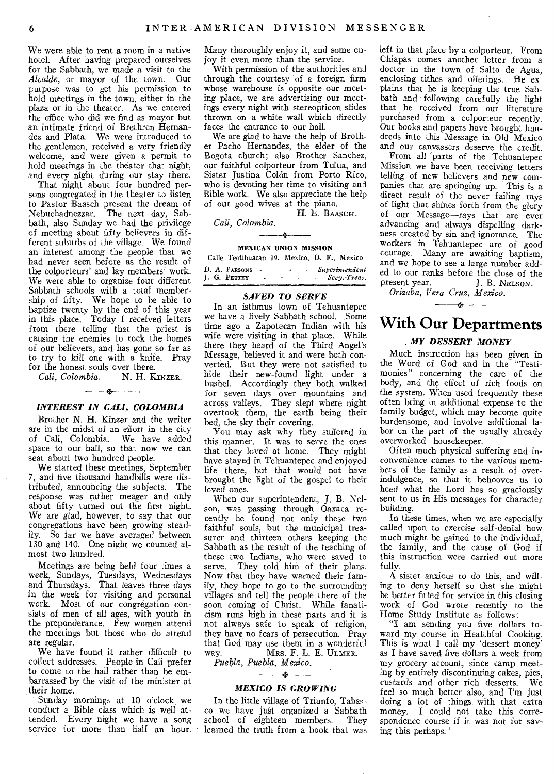We were able to rent a room in a native hotel. After having prepared ourselves for the Sabbath, we made a visit to the *Alcalde,* or mayor of the town. Our purpose was to get his permission to hold meetings in the town, either in the plaza or in the theater. As we entered the office who did we find as mayor but an intimate friend of Brethren Hernandez and Plata. We were introduced to the gentlemen, received a very friendly welcome, and were given a permit to hold meetings in the theater that night, and every night during our stay there.

That night about four hundred persons congregated in the theater to listen to Pastor Baasch present the dream of Nebuchadnezzar. The next day, Sabbath, also Sunday we had the privilege of meeting about fifty believers in different suburbs of the village. We found an interest among the people that we had never seen before as the result of the colporteurs' and lay members' work. We were able to organize four different Sabbath schools with a total membership of fifty. We hope to be able to baptize twenty by the end of this year in this place. Today I received letters from there telling that the priest is causing the enemies to rock the homes of our believers, and has gone so far as to try to kill one with a knife. Pray for the honest souls over there.<br>Cali. Colombia.  $N$ . H. KINZER.

 $Cali, Colombia.$  $\rightarrow$ 

#### *INTEREST IN CALI, COLOMBIA*

Brother N. H. Kinzer and the writer are in the midst of an effort in the city of Cali, Colombia. We have added space to our hall, so that now we can seat about two hundred people.

We started these meetings, September 7, and five thousand handbills were distributed, announcing the subjects. The response was rather meager and only about fifty turned out the first night. We are glad, however, to say that our congregations have been growing steadily. So far we have averaged between 130 and 140. One night we counted almost two hundred.

Meetings are being held four times a week, Sundays, Tuesdays, Wednesdays and Thursdays. That leaves three days in the week for visiting and personal work. Most of our congregation consists of men of all ages, with youth in the preponderance. Few women attend the meetings but those who do attend are regular.

We have found it rather difficult to collect addresses. People in Cali prefer to come to the hall rather than be embarrassed by the visit of the minister at their home.

Sunday mornings at 10 o'clock we conduct a Bible class which is well attended. Every night we have a song service for more than half an hour. Many thoroughly enjoy it, and some enjoy it even more than the service.

With permission of the authorities and through the courtesy of a foreign firm whose warehouse is opposite our meeting place, we are advertising our meetings every night with stereopticon slides thrown on a white wall which directly faces the entrance to our hall.

We are glad to have the help of Brother Pacho Hernandez, the elder of the Bogota church; also Brother Sanchez, our faithful colporteur from Tulua, and Sister Justina Colón from Porto Rico, who is devoting her time to visiting and Bible work. We also appreciate the help of our good wives at the piano. H. E. BAASCH.

*Cali, Colombia.* 

### MEXICAN UNION MISSION

|  | Calle Teotihuacan 19, Mexico, D. F., Mexico |                     |  |             |  |                                  |
|--|---------------------------------------------|---------------------|--|-------------|--|----------------------------------|
|  | D. A. Parsons<br>J. G. Pettey               | $\sim$<br>$\lambda$ |  | $\sim$<br>- |  | Superintendent<br>- Secv. Treas. |

## *SAVED TO SERVE*

In an isthmus town of Tehuantepec we have a lively Sabbath school. Some time ago a Zapotecan Indian with his wife were visiting in that place. While there they heard of the Third Angel's Message, believed it and were both converted. But they were not satisfied to hide their new-found light under a bushel. Accordingly they both walked for seven days over mountains and across valleys. They slept where night overtook them, the earth being their bed, the sky their covering.

You may ask why they suffered in this manner. It was to serve the ones that they loved at home. They might have stayed in Tehuantepec and enjoyed life there, but that would not have brought the light of the gospel to their loved ones.

When our superintendent, J. B. Nelson, was passing through Oaxaca recently he found not only these two faithful souls, but the municipal treasurer and thirteen others keeping the Sabbath as the result of the teaching of these two Indians, who were saved to serve. They told him of their plans. Now that they have warned their family, they hope to go to the surrounding villages and tell the people there of the soon coming of Christ. While fanaticism runs high in these parts and it is not always safe to speak of religion, they have no fears of persecution. Pray that God may use them in a wonderful<br>way. Mrs. F. L. E. ULMER. way. MRS. F. L. E. ULMER.

*Puebla, Puebla, Mexico.* 

# *MEXICO IS GROWING*

In the little village of Triunfo, Tabasco we have just organized a Sabbath school of eighteen members. learned the truth from a book that was left in that place by a colporteur. From Chiapas comes another letter from a doctor in the town of Salto de Agua, enclosing tithes and offerings. He explains that he is keeping the true Sabbath and following carefully the light that he received from our literature purchased from a colporteur recently. Our books and papers have brought hundreds into this Message in Old Mexico and our canvassers deserve the credit.

From all parts of the Tehuantepec Mission we have been receiving letters telling of new believers and new companies that are springing up. This is a direct result of the never failing rays of light that shines forth from the glory of our Message—rays that are ever advancing and always dispelling darkness created by sin and ignorance. The workers in Tehuantepec are of good courage. Many are awaiting baptism, and we hope to see a large number added to our ranks before the close of the<br>present year. [ B. NELSON.] J. B. NELSON.

*Orizaba, Vera Cruz, Mexico.* 

# **With Our Departments**

 $\mathcal{A}$ 

# *\_ MY DESSERT MONEY*

Much instruction has been given in the Word of God and in the "Testimonies" concerning the care of the body, and the effect of rich foods on the system. When used frequently these often bring in additional expense to the family budget, which may become quite burdensome, and involve additional labor on the part of the usually already overworked housekeeper.

Often much physical suffering and inconvenience comes to the various members of the family as a result of overindulgence, so that it behooves us to heed what the Lord has so graciously sent to us in His messages for character building.

In these times, when we are especially called upon to exercise self-denial how much might be gained to the individual, the family, and the cause of God if this instruction were carried out more fully.

A sister anxious to do this, and willing to deny herself so that she might be better fitted for service in this closing work of God wrote recently to the Home Study Institute as follows:

"I am sending you five dollars toward my course in Healthful Cooking. This is what I call my 'dessert money' as I have saved five dollars a week from my grocery account, since camp meeting by entirely discontinuing cakes, pies, custards and other rich desserts. We *feel* so much better also, and I'm just doing a lot of things with that extra money. I could not take this correspondence course if it was not for saving this perhaps. '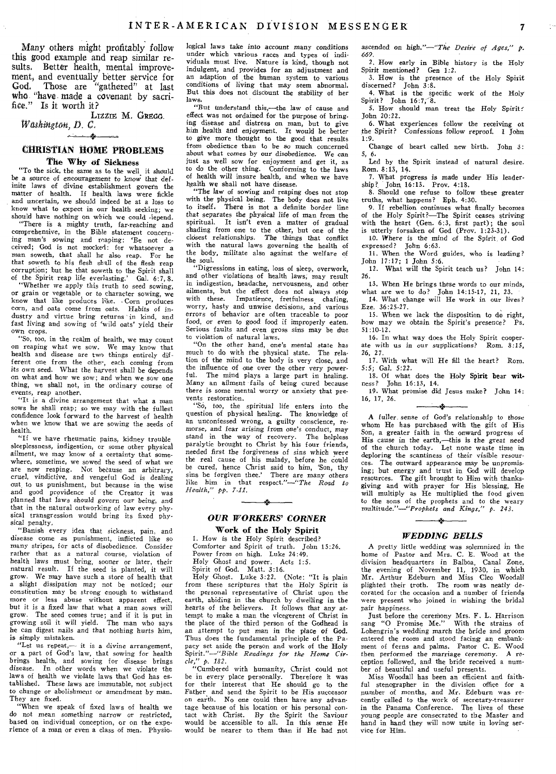Many others might profitably follow this good example and reap similar results, Better health, mental improvement, and eventually better service for God. Those are "gathered" at last who. "have. made a covenant by sacrifice." Is it worth it?

LIZZIE M. GREGG. *WathiligtOti, D. C.*  مغسست

# CHRISTIAN HOME PROBLEMS The Why of Sickness

"To the sick, the same as to the well. it should be a source of *encouragement to* know that *definite* laws of divine establishment govern the matter of health. If health laws were fickle and uncertain, we should indeed be at a loss to know what to expect in our health seeking; we should have nothing on which we could •lepend.

"There is a mighty truth, far-reaching and comprehensive, in the Bible statement concerning man's sowing and reaping: 'Be not deceived; God is not mocked: for whatsoever a man soweth, that shall he also reap. For he that soweth to his flesh shall of the flesh reap corruption; but he that soweth to the Spirit shall of the Spirit reap life everlasting.' Gal. 6:7, 8.

"Whether we apply this truth to seed sowing, or grain or vegetable or to character sowing, we know that like produces like. • Corn produces corn, and oats come from oats. Habits of industry and virtue bring returns in kind, and<br>fast living and sowing of 'wild oats' yield their own crops.

"So, too, in the realm of health, we may count on reaping what we sow. We may know that health and disease are two things entirely different one from the other, each coming from its own seed. What the harvest shall be depends on what and how we sow; and when we sow one thing, we shall not, in the ordinary course of events, reap another.

"It is a divine arrangement that what a man sows he shall reap; so we may with the fullest confidence look forward to the harvest of health when we know that we are sowing the seeds of health.

"If we have rheumatic pains, kidney trouble sleeplessness, indigestion, or some other physical ailment, we may know of a certainty that somewhere, sometime, we sowed the seed of what we are now reaping. Not because an arbitrary, cruel, *vindictive,* and vengeful God is dealing out to us punishment, but because in the wise and good providence of the Creator it was planned that laws should *govern* our being, and that in the natural outworking of law every physical transgression would bring its fixed physical penalty.

"Banish every idea that sickness, pain, and disease come as punishment, inflicted like so many stripes, for acts of disobedience. Consider rather that as a natural course, violation of health laws must bring, sooner or later, their natural result. If the seed is planted, it will grow. We may have such a store of health that a slight dissipation may not be noticed; our constitution may be strong enough to withstand more or less abuse without apparent effect, but it is a fixed law that what a man sows will grow. The seed comes true; and if it is put in growing soil it will yield. The man who says he can digest nails and that nothing hurts him, is simply mistaken.

"Let us repeat,- it is a divine arrangement, or a part of God's law, that sowing for health brings health, and sowing for disease brings disease. In other words when we violate the laws of health we violate laws that God has established. These laws are immutable, not subject to change or abolishment or amendment by man. They are fixed.

"When we speak of fixed laws of health we do not mean something narrow or *restricted,*  based on individual conception, or on the experience of a man or even a class of men. Physiological laws take into account many conditions under which various races and types of individuals must live. Nature is kind, though not indulgent, and provides for an adjustment and an adaption of the human system to various conditions of living that may seem abnormal. But this does not discount the stability of her laws,

"But understand this,-the law of cause and effect was not ordained for the purpose of bringing disease and distress on man, but to give *him* health and enjoyment. It would be better to give more thought to the good that results from obedience than to be so much concerned about what comes by our disobedience. We can just as well sow for enjoyment and get it, as to do the other thing. Conforming to the laws of health will insure health, and when we have health we shall not have disease.

"The law of sowing and reaping does not stop with the physical being. The body does not live<br>to itself. There is not a definite border line There is not a definite border line that separates the physical life of man from the spiritual. It isn't even a matter of gradual shading from one to the other, but one of the closest *relationships.* The things that conflict with the natural laws governing the health of the body, militate also against the welfare of the soul. "Digressions in eating, loss of sleep, overwork,

and other violations of health laws; may result in indigestion, headache, nervousness, and other ailments, but the effect does not always stop with these. Impatience, fretfulness chafing, worry, hasty and unwise decisions, and various errors of behavior are often traceable to poor food, or even to good food if improperly eaten. Serious faults and even gross sins may be due to violation of natural laws.

"On the other hand, one's mental state has much to do with the physical state. The relation of the mind to the body is very close, and the influence of one over the other very powerful. The mind plays a large part in healing. Many an ailment fails of being cured because there is some mental worry or anxiety that prevents restoration.

"So, too, the spiritual life enters into the question of physical healing. The knowledge of an unconfessed wrong, a guilty conscience, remorse, and fear arising from one's conduct, may stand in the way of recovery. The helpless paralytic brought to Christ by his four friends, needed *first* the forgiveness of sins which were the real cause of his malady, before he could be cured, hence Christ said to him, 'Son, thy sins be forgiven thee.' There are many others like him in that respect."-"The *Road to Health," pp. 7-11.* 

# *OUR WORKERS' CORNER*

 $\longrightarrow$ 

Work of the Holy Spirit I. How is the Holy Spirit described? Comforter and Spirit of truth. John 15:26. Power from on high. Luke 24:49. Holy Ghost and power. Acts 1:5.

Spirit of God. Matt. 3:16. Holy Ghost. Luke 3:22. (Note: "It is plain from these scriptures that the Holy Spirit is the personal representative of Christ upon the earth, abiding in the church by dwelling in the hearts *of* the believers. It follows that any attempt to make a man the vicegerent of Christ in the place of the third person of the Godhead is an attempt to put man in the place of God. Thus does the fundamental principle of the Papacy set aside the person and work of the Holy

Spirit."-"Bible *Readings for the Home Circle," p. 182.* 

"Cumbered with humanity, Christ could not<br>"Cumbered with humanity, Christ could not<br>e in every place personally. Therefore it was be in every place personally. Therefore it was for their interest that He should go to the Father and send the Spirit to be His successor on earth. No one could then have any advantage because of his location or his personal contact with Christ. *By* the Spirit the Saviour would be accessible to all. In this sense He would be nearer to them than if He had not

ascended on *high."-"The Desire of Ages," P. 669.* 

2. How early in Bible history is the Holy Spirit mentioned? Gen 1:2. 3. How is the presence of the Holy Spirit

discerned? John *3:8.*  4. What is the specific work of the Holy Spirit? John 16:7, 8.

5. How should man treat the Holy Spirit: John 20:22.

6. What experiences follow the receiving of the Spirit? Confessions follow reproof. 1 John 1:9.

Change of heart called new birth. John 3: 5, 6.

Led by the Spirit instead of natural desire. Rom. 8:13, 14.

7. What progress is made under His leader-ship? John, 16:13. Prov. 4:18.

8. Should one refuse to follow these greater truths, what happens? Eph. 4:30.

9. If rebellion continues what finally becomes of the Holy Spirit?-The Spirit ceases striving with the heart (Gen. 6:3, first part); the soul is utterly forsaken of God (Prov. 1:23-31).

10. Where is the mind of the Spirit of God expressed? John 6:63.

11. When the Word guides, who is leading? John 17:17; 1 John 5:6.

12. What will the Spirit teach us? John 14: 26.

13. When He brings these words to our minds, what are we to do? John 14:15-17, 21, 23. 14. What change will He work in our lives? Eze. 36:25-27.

15. When we lack the disposition to do right, how may we obtain the Spirit's presence? Ps, 51:10-12.

16. In what way does the Holy Spirit cooper. ate with *us* in our supplications? Rom. 8:15, 26, 27.

17. With what will He fill the heart? Rom. 5:5; Gal. 5:22.

18. Of what does the Holy Spirit bear wit-

ness? John 16:13, 14. 19. What promise did Jesus make? John 14: 16, 17, 26.

A fuller *sense* of God's relationship to those whom He has purchased with the gift of His Son, a greater faith in the onward progress of His cause in the earth,-this is the *great* need of the church today. Let none waste time in deploring the scantiness of their visible resources. The outward appearance may be unpromising; but energy and trust in God will develop resources. The gift brought to Him with thanksgiving and with prayer for His blessing, He will multiply as He multiplied the food given to the sons of the prophets and to the weary multitude."-"Prophets *and Kings," p. 243.* 

#### *WEDDING BELLS*

A pretty little wedding was solemnized in the home of Pastor and Mrs. C. E. Wood at the division headquarters in Balboa, Canal Zone, division headquarters in Balboa, the evening of November 11, 1930, in which Mr. Arthur Edeburn and Miss Cleo Woodall plighted their troth. The room was neatly decorated for the occasion and a number of friends were present who joined in wishing the bridal pair happiness.

Just before the ceremony Mrs. F. L. Harrison sang "0 Promise Me." With the strains of Lohengrin's wedding march the bride and *groom*  entered the room and stood facing an embankment of ferns and palms. Pastor C. E. Wood then performed the marriage ceremony. A reception followed, and the bride received a number of beautiful and useful presents.

Miss Woodall has been an efficient and faithful stenographer in the division office for a number of months, and Mr. Edeburn was recently called to the work of secretary-treasurer in the Panama Conference. The lives of these young people are consecrated to the Master and hand in hand they will now unite in loving service for Him.

 $\frac{1}{2}$  in